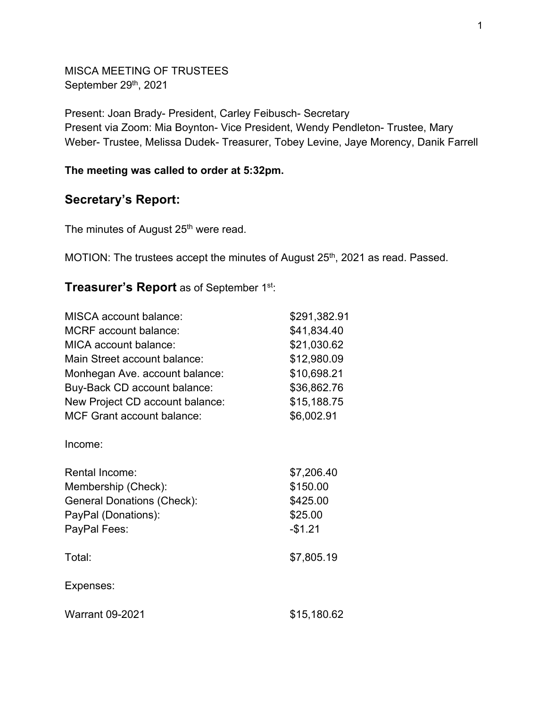MISCA MEETING OF TRUSTEES September 29<sup>th</sup>, 2021

Present: Joan Brady- President, Carley Feibusch- Secretary Present via Zoom: Mia Boynton- Vice President, Wendy Pendleton- Trustee, Mary Weber- Trustee, Melissa Dudek- Treasurer, Tobey Levine, Jaye Morency, Danik Farrell

## **The meeting was called to order at 5:32pm.**

## **Secretary's Report:**

The minutes of August 25<sup>th</sup> were read.

MOTION: The trustees accept the minutes of August 25<sup>th</sup>, 2021 as read. Passed.

## **Treasurer's Report** as of September 1st:

| <b>MISCA</b> account balance:     | \$291,382.91 |
|-----------------------------------|--------------|
| <b>MCRF</b> account balance:      | \$41,834.40  |
| MICA account balance:             | \$21,030.62  |
| Main Street account balance:      | \$12,980.09  |
| Monhegan Ave. account balance:    | \$10,698.21  |
| Buy-Back CD account balance:      | \$36,862.76  |
| New Project CD account balance:   | \$15,188.75  |
| <b>MCF Grant account balance:</b> | \$6,002.91   |
| Income:                           |              |
| <b>Rental Income:</b>             | \$7,206.40   |
| Membership (Check):               | \$150.00     |
| <b>General Donations (Check):</b> | \$425.00     |
| PayPal (Donations):               | \$25.00      |
| PayPal Fees:                      | $-$1.21$     |
| Total:                            | \$7,805.19   |
| Expenses:                         |              |
| <b>Warrant 09-2021</b>            | \$15,180.62  |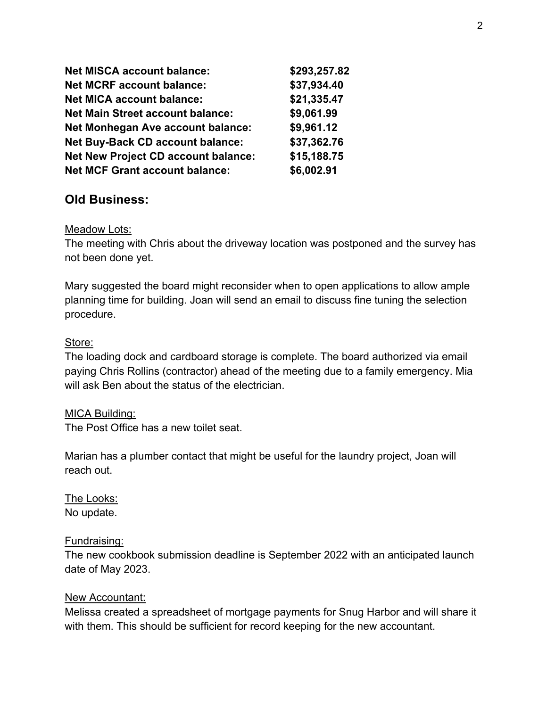| <b>Net MISCA account balance:</b>          | \$293,257.82 |
|--------------------------------------------|--------------|
| <b>Net MCRF account balance:</b>           | \$37,934.40  |
| <b>Net MICA account balance:</b>           | \$21,335.47  |
| <b>Net Main Street account balance:</b>    | \$9,061.99   |
| <b>Net Monhegan Ave account balance:</b>   | \$9,961.12   |
| <b>Net Buy-Back CD account balance:</b>    | \$37,362.76  |
| <b>Net New Project CD account balance:</b> | \$15,188.75  |
| <b>Net MCF Grant account balance:</b>      | \$6,002.91   |

# **Old Business:**

## Meadow Lots:

The meeting with Chris about the driveway location was postponed and the survey has not been done yet.

Mary suggested the board might reconsider when to open applications to allow ample planning time for building. Joan will send an email to discuss fine tuning the selection procedure.

## Store:

The loading dock and cardboard storage is complete. The board authorized via email paying Chris Rollins (contractor) ahead of the meeting due to a family emergency. Mia will ask Ben about the status of the electrician.

## MICA Building:

The Post Office has a new toilet seat.

Marian has a plumber contact that might be useful for the laundry project, Joan will reach out.

The Looks: No update.

## Fundraising:

The new cookbook submission deadline is September 2022 with an anticipated launch date of May 2023.

## New Accountant:

Melissa created a spreadsheet of mortgage payments for Snug Harbor and will share it with them. This should be sufficient for record keeping for the new accountant.